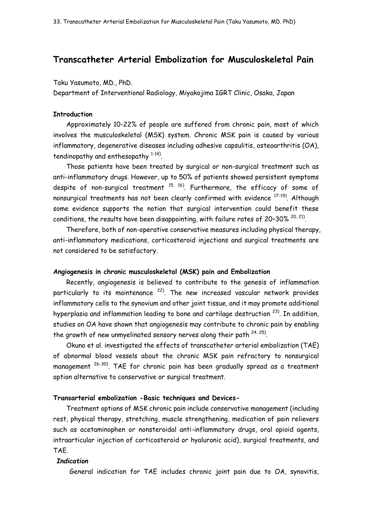# **Transcatheter Arterial Embolization for Musculoskeletal Pain**

Taku Yasumoto, MD., PhD.

Department of Interventional Radiology, Miyakojima IGRT Clinic, Osaka, Japan

## **Introduction**

Approximately 10-22% of people are suffered from chronic pain, most of which involves the musculoskeletal (MSK) system. Chronic MSK pain is caused by various inflammatory, degenerative diseases including adhesive capsulitis, osteoarthritis (OA), tendinopathy and enthesopathy  $1-14$ .

Those patients have been treated by surgical or non-surgical treatment such as anti-inflammatory drugs. However, up to 50% of patients showed persistent symptoms despite of non-surgical treatment  $^{15, 16}$ . Furthermore, the efficacy of some of nonsurgical treatments has not been clearly confirmed with evidence <sup>17-19)</sup>. Although some evidence supports the notion that surgical intervention could benefit these conditions, the results have been disappointing, with failure rates of 20-30%  $^{20, 21)}$ .

Therefore, both of non-operative conservative measures including physical therapy, anti-inflammatory medications, corticosteroid injections and surgical treatments are not considered to be satisfactory.

### **Angiogenesis in chronic musculoskeletal (MSK) pain and Embolization**

Recently, angiogenesis is believed to contribute to the genesis of inflammation particularly to its maintenance <sup>22)</sup>. The new increased vascular network provides inflammatory cells to the synovium and other joint tissue, and it may promote additional hyperplasia and inflammation leading to bone and cartilage destruction <sup>23)</sup>. In addition, studies on OA have shown that angiogenesis may contribute to chronic pain by enabling the growth of new unmyelinated sensory nerves along their path  $^{24,25)}$ .

Okuno et al. investigated the effects of transcatheter arterial embolization (TAE) of abnormal blood vessels about the chronic MSK pain refractory to nonsurgical management 26-30) . TAE for chronic pain has been gradually spread as a treatment option alternative to conservative or surgical treatment.

#### **Transarterial embolization -Basic techniques and Devices-**

Treatment options of MSK chronic pain include conservative management (including rest, physical therapy, stretching, muscle strengthening, medication of pain relievers such as acetaminophen or nonsteroidal anti-inflammatory drugs, oral opioid agents, intraarticular injection of corticosteroid or hyaluronic acid), surgical treatments, and TAE.

## *Indication*

General indication for TAE includes chronic joint pain due to OA, synovitis,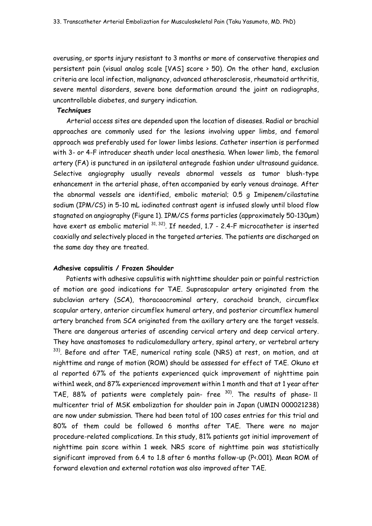overusing, or sports injury resistant to 3 months or more of conservative therapies and persistent pain (visual analog scale [VAS] score > 50). On the other hand, exclusion criteria are local infection, malignancy, advanced atherosclerosis, rheumatoid arthritis, severe mental disorders, severe bone deformation around the joint on radiographs, uncontrollable diabetes, and surgery indication.

#### *Techniques*

Arterial access sites are depended upon the location of diseases. Radial or brachial approaches are commonly used for the lesions involving upper limbs, and femoral approach was preferably used for lower limbs lesions. Catheter insertion is performed with 3- or 4-F introducer sheath under local anesthesia. When lower limb, the femoral artery (FA) is punctured in an ipsilateral antegrade fashion under ultrasound guidance. Selective angiography usually reveals abnormal vessels as tumor blush-type enhancement in the arterial phase, often accompanied by early venous drainage. After the abnormal vessels are identified, embolic material; 0.5 g Imipenem/cilastatine sodium (IPM/CS) in 5-10 mL iodinated contrast agent is infused slowly until blood flow stagnated on angiography (Figure 1). IPM/CS forms particles (approximately 50-130μm) have exert as embolic material  $^{31, 32)}$ . If needed, 1.7 - 2.4-F microcatheter is inserted coaxially and selectively placed in the targeted arteries. The patients are discharged on the same day they are treated.

#### **Adhesive capsulitis / Frozen Shoulder**

Patients with adhesive capsulitis with nighttime shoulder pain or painful restriction of motion are good indications for TAE. Suprascapular artery originated from the subclavian artery (SCA), thoracoacrominal artery, corachoid branch, circumflex scapular artery, anterior circumflex humeral artery, and posterior circumflex humeral artery branched from SCA originated from the axillary artery are the target vessels. There are dangerous arteries of ascending cervical artery and deep cervical artery. They have anastomoses to radiculomedullary artery, spinal artery, or vertebral artery  $33)$ . Before and after TAE, numerical rating scale (NRS) at rest, on motion, and at nighttime and range of motion (ROM) should be assessed for effect of TAE. Okuno et al reported 67% of the patients experienced quick improvement of nighttime pain within1 week, and 87% experienced improvement within 1 month and that at 1 year after TAE, 88% of patients were completely pain- free  $^{30}$ . The results of phase- II multicenter trial of MSK embolization for shoulder pain in Japan (UMIN 000021238) are now under submission. There had been total of 100 cases entries for this trial and 80% of them could be followed 6 months after TAE. There were no major procedure-related complications. In this study, 81% patients got initial improvement of nighttime pain score within 1 week. NRS score of nighttime pain was statistically significant improved from 6.4 to 1.8 after 6 months follow-up (P<.001). Mean ROM of forward elevation and external rotation was also improved after TAE.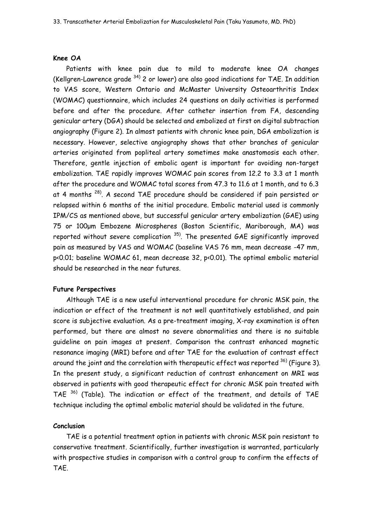### **Knee OA**

Patients with knee pain due to mild to moderate knee OA changes (Kellgren-Lawrence grade  $34$ ) 2 or lower) are also good indications for TAE. In addition to VAS score, Western Ontario and McMaster University Osteoarthritis Index (WOMAC) questionnaire, which includes 24 questions on daily activities is performed before and after the procedure. After catheter insertion from FA, descending genicular artery (DGA) should be selected and embolized at first on digital subtraction angiography (Figure 2). In almost patients with chronic knee pain, DGA embolization is necessary. However, selective angiography shows that other branches of genicular arteries originated from popliteal artery sometimes make anastomosis each other. Therefore, gentle injection of embolic agent is important for avoiding non-target embolization. TAE rapidly improves WOMAC pain scores from 12.2 to 3.3 at 1 month after the procedure and WOMAC total scores from 47.3 to 11.6 at 1 month, and to 6.3 at 4 months <sup>28)</sup>. A second TAE procedure should be considered if pain persisted or relapsed within 6 months of the initial procedure. Embolic material used is commonly IPM/CS as mentioned above, but successful genicular artery embolization (GAE) using 75 or 100μm Embozene Microspheres (Boston Scientific, Mariborough, MA) was reported without severe complication  $35$ ). The presented GAE significantly improved pain as measured by VAS and WOMAC (baseline VAS 76 mm, mean decrease -47 mm, p<0.01; baseline WOMAC 61, mean decrease 32, p<0.01). The optimal embolic material should be researched in the near futures.

#### **Future Perspectives**

Although TAE is a new useful interventional procedure for chronic MSK pain, the indication or effect of the treatment is not well quantitatively established, and pain score is subjective evaluation. As a pre-treatment imaging, X-ray examination is often performed, but there are almost no severe abnormalities and there is no suitable guideline on pain images at present. Comparison the contrast enhanced magnetic resonance imaging (MRI) before and after TAE for the evaluation of contrast effect around the joint and the correlation with therapeutic effect was reported  $^{36)}$  (Figure 3). In the present study, a significant reduction of contrast enhancement on MRI was observed in patients with good therapeutic effect for chronic MSK pain treated with TAE <sup>36)</sup> (Table). The indication or effect of the treatment, and details of TAE technique including the optimal embolic material should be validated in the future.

## **Conclusion**

TAE is a potential treatment option in patients with chronic MSK pain resistant to conservative treatment. Scientifically, further investigation is warranted, particularly with prospective studies in comparison with a control group to confirm the effects of TAE.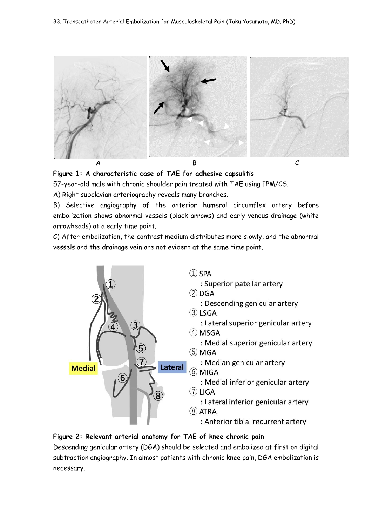



57-year-old male with chronic shoulder pain treated with TAE using IPM/CS.

A) Right subclavian arteriography reveals many branches.

B) Selective angiography of the anterior humeral circumflex artery before embolization shows abnormal vessels (black arrows) and early venous drainage (white arrowheads) at a early time point.

C) After embolization, the contrast medium distributes more slowly, and the abnormal vessels and the drainage vein are not evident at the same time point.



# **Figure 2: Relevant arterial anatomy for TAE of knee chronic pain**

Descending genicular artery (DGA) should be selected and embolized at first on digital subtraction angiography. In almost patients with chronic knee pain, DGA embolization is necessary.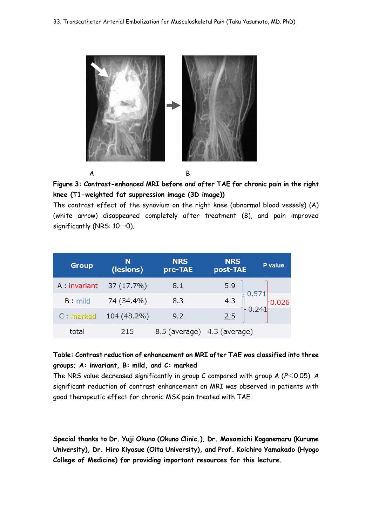



The contrast effect of the synovium on the right knee (abnormal blood vessels) (A) (white arrow) disappeared completely after treatment (B), and pain improved significantly (NRS: 10→0).

| <b>Group</b>  | N<br>(lesions) | <b>NRS</b><br>pre-TAE       | <b>NRS</b><br>post-TAE | P value                                                                |
|---------------|----------------|-----------------------------|------------------------|------------------------------------------------------------------------|
| A : invariant | 37 (17.7%)     | 8.1                         |                        |                                                                        |
| <b>B</b> mild | 74 (34.4%)     | 8.3                         |                        | 5.9<br>4.3 $\begin{bmatrix} 0.571 \\ 0.241 \end{bmatrix}$ 0.026<br>2.5 |
| C : marked    | 104 (48.2%)    | 9.2                         |                        |                                                                        |
| total         | 215            | 8.5 (average) 4.3 (average) |                        |                                                                        |

# **Table: Contrast reduction of enhancement on MRI after TAE was classified into three groups; A: invariant, B: mild, and C: marked**

The NRS value decreased significantly in group C compared with group A (*P*<0.05). A significant reduction of contrast enhancement on MRI was observed in patients with good therapeutic effect for chronic MSK pain treated with TAE.

**Special thanks to Dr. Yuji Okuno (Okuno Clinic.), Dr. Masamichi Koganemaru (Kurume University), Dr. Hiro Kiyosue (Oita University), and Prof. Koichiro Yamakado (Hyogo College of Medicine) for providing important resources for this lecture.**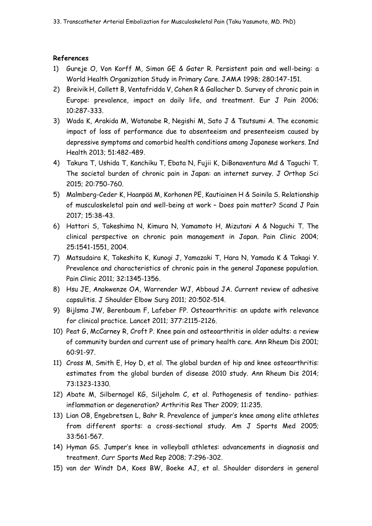# **References**

- 1) Gureje O, Von Korff M, Simon GE & Gater R. Persistent pain and well-being: a World Health Organization Study in Primary Care. JAMA 1998; 280:147-151.
- 2) Breivik H, Collett B, Ventafridda V, Cohen R & Gallacher D. Survey of chronic pain in Europe: prevalence, impact on daily life, and treatment. Eur J Pain 2006; 10:287-333.
- 3) Wada K, Arakida M, Watanabe R, Negishi M, Sato J & Tsutsumi A. The economic impact of loss of performance due to absenteeism and presenteeism caused by depressive symptoms and comorbid health conditions among Japanese workers. Ind Health 2013; 51:482-489.
- 4) Takura T, Ushida T, Kanchiku T, Ebata N, Fujii K, DiBonaventura Md & Taguchi T. The societal burden of chronic pain in Japan: an internet survey. J Orthop Sci 2015; 20:750-760.
- 5) Malmberg-Ceder K, Haanpää M, Korhonen PE, Kautiainen H & Soinila S. Relationship of musculoskeletal pain and well-being at work – Does pain matter? Scand J Pain 2017; 15:38-43.
- 6) Hattori S, Takeshima N, Kimura N, Yamamoto H, Mizutani A & Noguchi T. The clinical perspective on chronic pain management in Japan. Pain Clinic 2004; 25:1541-1551, 2004.
- 7) Matsudaira K, Takeshita K, Kunogi J, Yamazaki T, Hara N, Yamada K & Takagi Y. Prevalence and characteristics of chronic pain in the general Japanese population. Pain Clinic 2011; 32:1345-1356.
- 8) Hsu JE, Anakwenze OA, Warrender WJ, Abboud JA. Current review of adhesive capsulitis. J Shoulder Elbow Surg 2011; 20:502-514.
- 9) Bijlsma JW, Berenbaum F, Lafeber FP. Osteoarthritis: an update with relevance for clinical practice. Lancet 2011; 377:2115-2126.
- 10) Peat G, McCarney R, Croft P. Knee pain and osteoarthritis in older adults: a review of community burden and current use of primary health care. Ann Rheum Dis 2001; 60:91-97.
- 11) Cross M, Smith E, Hoy D, et al. The global burden of hip and knee osteoarthritis: estimates from the global burden of disease 2010 study. Ann Rheum Dis 2014; 73:1323-1330.
- 12) Abate M, Silbernagel KG, Siljeholm C, et al. Pathogenesis of tendino- pathies: inflammation or degeneration? Arthritis Res Ther 2009; 11:235.
- 13) Lian OB, Engebretsen L, Bahr R. Prevalence of jumper's knee among elite athletes from different sports: a cross-sectional study. Am J Sports Med 2005; 33:561-567.
- 14) Hyman GS. Jumper's knee in volleyball athletes: advancements in diagnosis and treatment. Curr Sports Med Rep 2008; 7:296-302.
- 15) van der Windt DA, Koes BW, Boeke AJ, et al. Shoulder disorders in general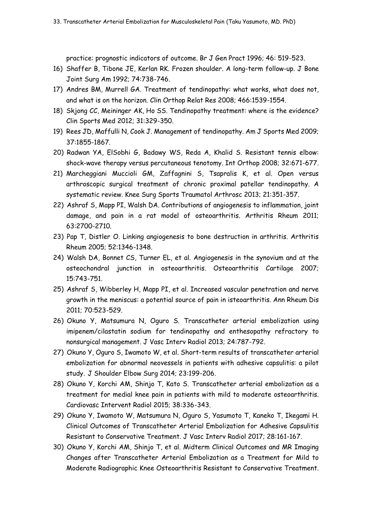practice: prognostic indicators of outcome. Br J Gen Pract 1996; 46: 519-523.

- 16) Shaffer B, Tibone JE, Kerlan RK. Frozen shoulder. A long-term follow-up. J Bone Joint Surg Am 1992; 74:738-746.
- 17) Andres BM, Murrell GA. Treatment of tendinopathy: what works, what does not, and what is on the horizon. Clin Orthop Relat Res 2008; 466:1539-1554.
- 18) Skjong CC, Meininger AK, Ho SS. Tendinopathy treatment: where is the evidence? Clin Sports Med 2012; 31:329-350.
- 19) Rees JD, Maffulli N, Cook J. Management of tendinopathy. Am J Sports Med 2009; 37:1855-1867.
- 20) Radwan YA, ElSobhi G, Badawy WS, Reda A, Khalid S. Resistant tennis elbow: shock-wave therapy versus percutaneous tenotomy. Int Orthop 2008; 32:671-677.
- 21) Marcheggiani Muccioli GM, Zaffagnini S, Tsapralis K, et al. Open versus arthroscopic surgical treatment of chronic proximal patellar tendinopathy. A systematic review. Knee Surg Sports Traumatol Arthrosc 2013; 21:351-357.
- 22) Ashraf S, Mapp PI, Walsh DA. Contributions of angiogenesis to inflammation, joint damage, and pain in a rat model of osteoarthritis. Arthritis Rheum 2011; 63:2700-2710.
- 23) Pap T, Distler O. Linking angiogenesis to bone destruction in arthritis. Arthritis Rheum 2005; 52:1346-1348.
- 24) Walsh DA, Bonnet CS, Turner EL, et al. Angiogenesis in the synovium and at the osteochondral junction in osteoarthritis. Osteoarthritis Cartilage 2007; 15:743-751.
- 25) Ashraf S, Wibberley H, Mapp PI, et al. Increased vascular penetration and nerve growth in the meniscus: a potential source of pain in isteoarthritis. Ann Rheum Dis 2011; 70:523-529.
- 26) Okuno Y, Matsumura N, Oguro S. Transcatheter arterial embolization using imipenem/cilastatin sodium for tendinopathy and enthesopathy refractory to nonsurgical management. J Vasc Interv Radiol 2013; 24:787-792.
- 27) Okuno Y, Oguro S, Iwamoto W, et al. Short-term results of transcatheter arterial embolization for abnormal neovessels in patients with adhesive capsulitis: a pilot study. J Shoulder Elbow Surg 2014; 23:199-206.
- 28) Okuno Y, Korchi AM, Shinjo T, Kato S. Transcatheter arterial embolization as a treatment for medial knee pain in patients with mild to moderate osteoarthritis. Cardiovasc Intervent Radiol 2015; 38:336-343.
- 29) Okuno Y, Iwamoto W, Matsumura N, Oguro S, Yasumoto T, Kaneko T, Ikegami H. Clinical Outcomes of Transcatheter Arterial Embolization for Adhesive Capsulitis Resistant to Conservative Treatment. J Vasc Interv Radiol 2017; 28:161-167.
- 30) Okuno Y, Korchi AM, Shinjo T, et al. Midterm Clinical Outcomes and MR Imaging Changes after Transcatheter Arterial Embolization as a Treatment for Mild to Moderate Radiographic Knee Osteoarthritis Resistant to Conservative Treatment.